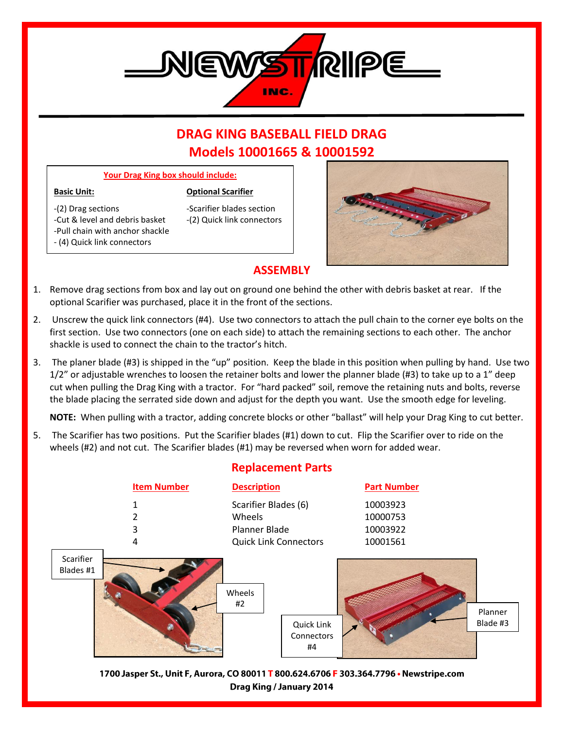

# **DRAG KING BASEBALL FIELD DRAG Models 10001665 & 10001592**

### **Your Drag King box should include:**

#### **Basic Unit: Optional Scarifier**

- -(2) Drag sections -Scarifier blades section -Cut & level and debris basket -(2) Quick link connectors -Pull chain with anchor shackle - (4) Quick link connectors
	-



## **ASSEMBLY**

- 1. Remove drag sections from box and lay out on ground one behind the other with debris basket at rear. If the optional Scarifier was purchased, place it in the front of the sections.
- 2. Unscrew the quick link connectors (#4). Use two connectors to attach the pull chain to the corner eye bolts on the first section. Use two connectors (one on each side) to attach the remaining sections to each other. The anchor shackle is used to connect the chain to the tractor's hitch.
- 3. The planer blade (#3) is shipped in the "up" position. Keep the blade in this position when pulling by hand. Use two 1/2" or adjustable wrenches to loosen the retainer bolts and lower the planner blade (#3) to take up to a 1" deep cut when pulling the Drag King with a tractor. For "hard packed" soil, remove the retaining nuts and bolts, reverse the blade placing the serrated side down and adjust for the depth you want. Use the smooth edge for leveling.

**NOTE:** When pulling with a tractor, adding concrete blocks or other "ballast" will help your Drag King to cut better.

5. The Scarifier has two positions. Put the Scarifier blades (#1) down to cut. Flip the Scarifier over to ride on the wheels (#2) and not cut. The Scarifier blades (#1) may be reversed when worn for added wear.



1700 Jasper St., Unit F, Aurora, CO 80011 T 800.624.6706 F 303.364.7796 • Newstripe.com Drag King / January 2014